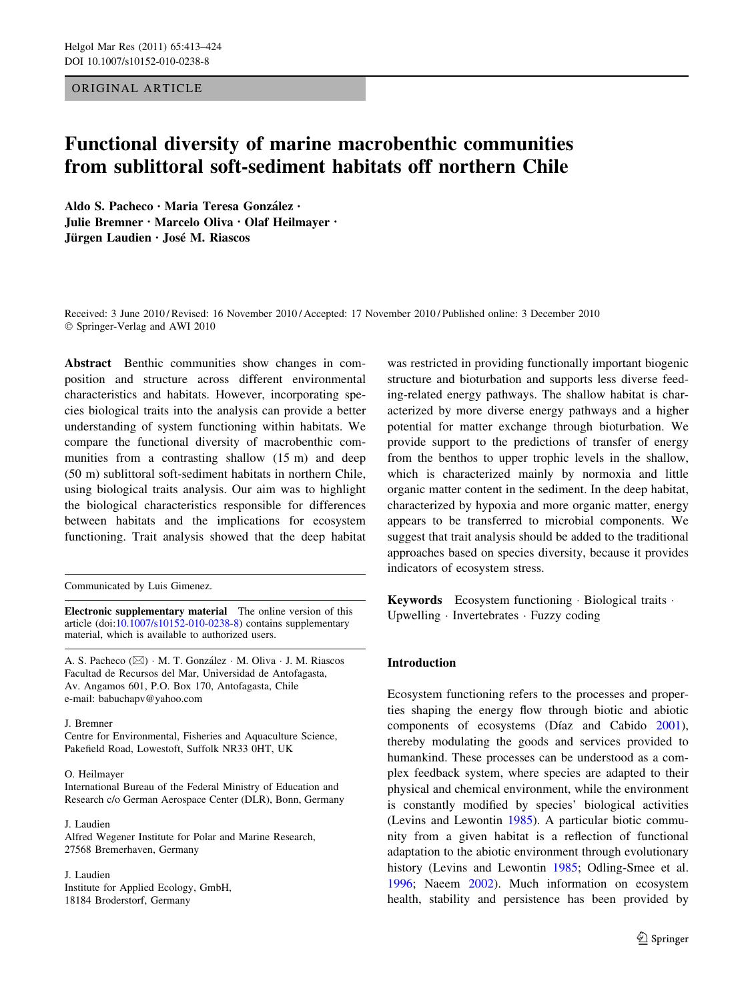# ORIGINAL ARTICLE

# Functional diversity of marine macrobenthic communities from sublittoral soft-sediment habitats off northern Chile

Aldo S. Pacheco · Maria Teresa González · Julie Bremner • Marcelo Oliva • Olaf Heilmayer • Jürgen Laudien · José M. Riascos

Received: 3 June 2010 / Revised: 16 November 2010 / Accepted: 17 November 2010 / Published online: 3 December 2010 © Springer-Verlag and AWI 2010

Abstract Benthic communities show changes in composition and structure across different environmental characteristics and habitats. However, incorporating species biological traits into the analysis can provide a better understanding of system functioning within habitats. We compare the functional diversity of macrobenthic communities from a contrasting shallow (15 m) and deep (50 m) sublittoral soft-sediment habitats in northern Chile, using biological traits analysis. Our aim was to highlight the biological characteristics responsible for differences between habitats and the implications for ecosystem functioning. Trait analysis showed that the deep habitat

Communicated by Luis Gimenez.

Electronic supplementary material The online version of this article (doi:[10.1007/s10152-010-0238-8\)](http://dx.doi.org/10.1007/s10152-010-0238-8) contains supplementary material, which is available to authorized users.

A. S. Pacheco (⊠) · M. T. González · M. Oliva · J. M. Riascos Facultad de Recursos del Mar, Universidad de Antofagasta, Av. Angamos 601, P.O. Box 170, Antofagasta, Chile e-mail: babuchapv@yahoo.com

#### J. Bremner

Centre for Environmental, Fisheries and Aquaculture Science, Pakefield Road, Lowestoft, Suffolk NR33 0HT, UK

#### O. Heilmayer

International Bureau of the Federal Ministry of Education and Research c/o German Aerospace Center (DLR), Bonn, Germany

#### J. Laudien

Alfred Wegener Institute for Polar and Marine Research, 27568 Bremerhaven, Germany

#### J. Laudien

Institute for Applied Ecology, GmbH, 18184 Broderstorf, Germany

was restricted in providing functionally important biogenic structure and bioturbation and supports less diverse feeding-related energy pathways. The shallow habitat is characterized by more diverse energy pathways and a higher potential for matter exchange through bioturbation. We provide support to the predictions of transfer of energy from the benthos to upper trophic levels in the shallow, which is characterized mainly by normoxia and little organic matter content in the sediment. In the deep habitat, characterized by hypoxia and more organic matter, energy appears to be transferred to microbial components. We suggest that trait analysis should be added to the traditional approaches based on species diversity, because it provides indicators of ecosystem stress.

Keywords Ecosystem functioning · Biological traits · Upwelling - Invertebrates - Fuzzy coding

# Introduction

Ecosystem functioning refers to the processes and properties shaping the energy flow through biotic and abiotic components of ecosystems (Díaz and Cabido [2001](#page-10-0)), thereby modulating the goods and services provided to humankind. These processes can be understood as a complex feedback system, where species are adapted to their physical and chemical environment, while the environment is constantly modified by species' biological activities (Levins and Lewontin [1985](#page-10-0)). A particular biotic community from a given habitat is a reflection of functional adaptation to the abiotic environment through evolutionary history (Levins and Lewontin [1985;](#page-10-0) Odling-Smee et al. [1996](#page-11-0); Naeem [2002](#page-11-0)). Much information on ecosystem health, stability and persistence has been provided by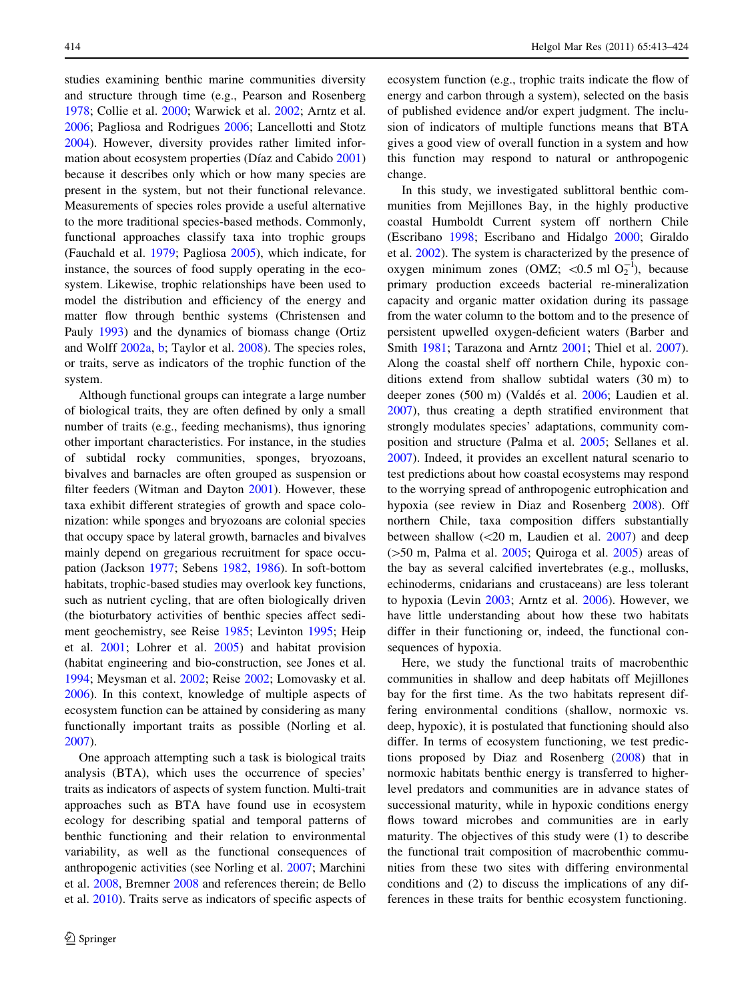studies examining benthic marine communities diversity and structure through time (e.g., Pearson and Rosenberg [1978;](#page-11-0) Collie et al. [2000;](#page-10-0) Warwick et al. [2002](#page-11-0); Arntz et al. [2006;](#page-9-0) Pagliosa and Rodrigues [2006](#page-11-0); Lancellotti and Stotz [2004\)](#page-10-0). However, diversity provides rather limited infor-mation about ecosystem properties (Díaz and Cabido [2001\)](#page-10-0) because it describes only which or how many species are present in the system, but not their functional relevance. Measurements of species roles provide a useful alternative to the more traditional species-based methods. Commonly, functional approaches classify taxa into trophic groups (Fauchald et al. [1979;](#page-10-0) Pagliosa [2005](#page-11-0)), which indicate, for instance, the sources of food supply operating in the ecosystem. Likewise, trophic relationships have been used to model the distribution and efficiency of the energy and matter flow through benthic systems (Christensen and Pauly [1993\)](#page-10-0) and the dynamics of biomass change (Ortiz and Wolff [2002a,](#page-11-0) [b;](#page-11-0) Taylor et al. [2008](#page-11-0)). The species roles, or traits, serve as indicators of the trophic function of the system.

Although functional groups can integrate a large number of biological traits, they are often defined by only a small number of traits (e.g., feeding mechanisms), thus ignoring other important characteristics. For instance, in the studies of subtidal rocky communities, sponges, bryozoans, bivalves and barnacles are often grouped as suspension or filter feeders (Witman and Dayton [2001](#page-11-0)). However, these taxa exhibit different strategies of growth and space colonization: while sponges and bryozoans are colonial species that occupy space by lateral growth, barnacles and bivalves mainly depend on gregarious recruitment for space occupation (Jackson [1977;](#page-10-0) Sebens [1982,](#page-11-0) [1986](#page-11-0)). In soft-bottom habitats, trophic-based studies may overlook key functions, such as nutrient cycling, that are often biologically driven (the bioturbatory activities of benthic species affect sediment geochemistry, see Reise [1985](#page-11-0); Levinton [1995](#page-10-0); Heip et al. [2001](#page-10-0); Lohrer et al. [2005](#page-10-0)) and habitat provision (habitat engineering and bio-construction, see Jones et al. [1994;](#page-10-0) Meysman et al. [2002](#page-11-0); Reise [2002](#page-11-0); Lomovasky et al. [2006\)](#page-10-0). In this context, knowledge of multiple aspects of ecosystem function can be attained by considering as many functionally important traits as possible (Norling et al. [2007\)](#page-11-0).

One approach attempting such a task is biological traits analysis (BTA), which uses the occurrence of species' traits as indicators of aspects of system function. Multi-trait approaches such as BTA have found use in ecosystem ecology for describing spatial and temporal patterns of benthic functioning and their relation to environmental variability, as well as the functional consequences of anthropogenic activities (see Norling et al. [2007;](#page-11-0) Marchini et al. [2008,](#page-10-0) Bremner [2008](#page-10-0) and references therein; de Bello et al. [2010](#page-10-0)). Traits serve as indicators of specific aspects of ecosystem function (e.g., trophic traits indicate the flow of energy and carbon through a system), selected on the basis of published evidence and/or expert judgment. The inclusion of indicators of multiple functions means that BTA gives a good view of overall function in a system and how this function may respond to natural or anthropogenic change.

In this study, we investigated sublittoral benthic communities from Mejillones Bay, in the highly productive coastal Humboldt Current system off northern Chile (Escribano [1998;](#page-10-0) Escribano and Hidalgo [2000;](#page-10-0) Giraldo et al. [2002](#page-10-0)). The system is characterized by the presence of oxygen minimum zones (OMZ; < $0.5$  ml O<sub>2</sub><sup>-1</sup>), because primary production exceeds bacterial re-mineralization capacity and organic matter oxidation during its passage from the water column to the bottom and to the presence of persistent upwelled oxygen-deficient waters (Barber and Smith [1981](#page-10-0); Tarazona and Arntz [2001](#page-11-0); Thiel et al. [2007](#page-11-0)). Along the coastal shelf off northern Chile, hypoxic conditions extend from shallow subtidal waters (30 m) to deeper zones (500 m) (Valdés et al. [2006;](#page-11-0) Laudien et al. [2007](#page-10-0)), thus creating a depth stratified environment that strongly modulates species' adaptations, community composition and structure (Palma et al. [2005](#page-11-0); Sellanes et al. [2007](#page-11-0)). Indeed, it provides an excellent natural scenario to test predictions about how coastal ecosystems may respond to the worrying spread of anthropogenic eutrophication and hypoxia (see review in Diaz and Rosenberg [2008\)](#page-10-0). Off northern Chile, taxa composition differs substantially between shallow  $(<20$  m, Laudien et al.  $2007$ ) and deep  $(50 \text{ m}, \text{Palma et al. } 2005; \text{Quiroga et al. } 2005)$  $(50 \text{ m}, \text{Palma et al. } 2005; \text{Quiroga et al. } 2005)$  $(50 \text{ m}, \text{Palma et al. } 2005; \text{Quiroga et al. } 2005)$  $(50 \text{ m}, \text{Palma et al. } 2005; \text{Quiroga et al. } 2005)$  areas of the bay as several calcified invertebrates (e.g., mollusks, echinoderms, cnidarians and crustaceans) are less tolerant to hypoxia (Levin [2003;](#page-10-0) Arntz et al. [2006\)](#page-9-0). However, we have little understanding about how these two habitats differ in their functioning or, indeed, the functional consequences of hypoxia.

Here, we study the functional traits of macrobenthic communities in shallow and deep habitats off Mejillones bay for the first time. As the two habitats represent differing environmental conditions (shallow, normoxic vs. deep, hypoxic), it is postulated that functioning should also differ. In terms of ecosystem functioning, we test predictions proposed by Diaz and Rosenberg [\(2008](#page-10-0)) that in normoxic habitats benthic energy is transferred to higherlevel predators and communities are in advance states of successional maturity, while in hypoxic conditions energy flows toward microbes and communities are in early maturity. The objectives of this study were (1) to describe the functional trait composition of macrobenthic communities from these two sites with differing environmental conditions and (2) to discuss the implications of any differences in these traits for benthic ecosystem functioning.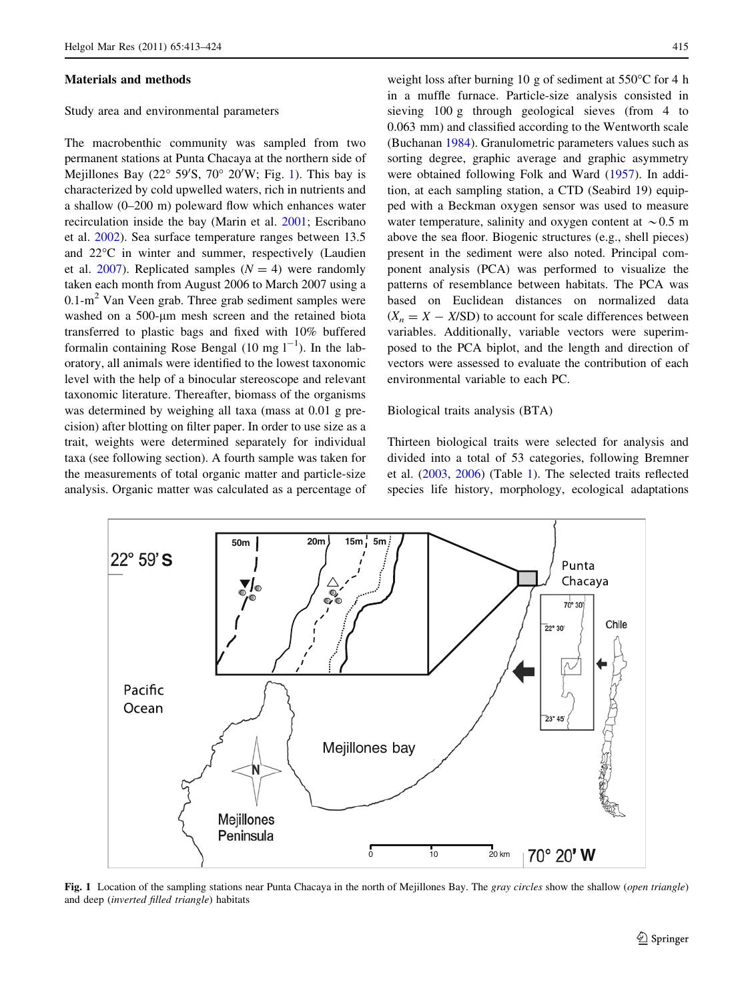#### Materials and methods

## Study area and environmental parameters

The macrobenthic community was sampled from two permanent stations at Punta Chacaya at the northern side of Mejillones Bay (22 $\degree$  59'S, 70 $\degree$  20'W; Fig. 1). This bay is characterized by cold upwelled waters, rich in nutrients and a shallow (0–200 m) poleward flow which enhances water recirculation inside the bay (Marin et al. [2001;](#page-11-0) Escribano et al. [2002\)](#page-10-0). Sea surface temperature ranges between 13.5 and 22°C in winter and summer, respectively (Laudien et al. [2007](#page-10-0)). Replicated samples ( $N = 4$ ) were randomly taken each month from August 2006 to March 2007 using a  $0.1\text{-m}^2$  Van Veen grab. Three grab sediment samples were washed on a 500-um mesh screen and the retained biota transferred to plastic bags and fixed with 10% buffered formalin containing Rose Bengal  $(10 \text{ mg } 1^{-1})$ . In the laboratory, all animals were identified to the lowest taxonomic level with the help of a binocular stereoscope and relevant taxonomic literature. Thereafter, biomass of the organisms was determined by weighing all taxa (mass at 0.01 g precision) after blotting on filter paper. In order to use size as a trait, weights were determined separately for individual taxa (see following section). A fourth sample was taken for the measurements of total organic matter and particle-size analysis. Organic matter was calculated as a percentage of

weight loss after burning 10 g of sediment at  $550^{\circ}$ C for 4 h in a muffle furnace. Particle-size analysis consisted in sieving 100 g through geological sieves (from 4 to 0.063 mm) and classified according to the Wentworth scale (Buchanan [1984\)](#page-10-0). Granulometric parameters values such as sorting degree, graphic average and graphic asymmetry were obtained following Folk and Ward [\(1957](#page-10-0)). In addition, at each sampling station, a CTD (Seabird 19) equipped with a Beckman oxygen sensor was used to measure water temperature, salinity and oxygen content at  $\sim 0.5$  m above the sea floor. Biogenic structures (e.g., shell pieces) present in the sediment were also noted. Principal component analysis (PCA) was performed to visualize the patterns of resemblance between habitats. The PCA was based on Euclidean distances on normalized data  $(X_n = X - X/\text{SD})$  to account for scale differences between variables. Additionally, variable vectors were superimposed to the PCA biplot, and the length and direction of vectors were assessed to evaluate the contribution of each environmental variable to each PC.

## Biological traits analysis (BTA)

Thirteen biological traits were selected for analysis and divided into a total of 53 categories, following Bremner et al. ([2003,](#page-10-0) [2006\)](#page-10-0) (Table [1](#page-3-0)). The selected traits reflected species life history, morphology, ecological adaptations



Fig. 1 Location of the sampling stations near Punta Chacaya in the north of Mejillones Bay. The gray circles show the shallow (open triangle) and deep (inverted filled triangle) habitats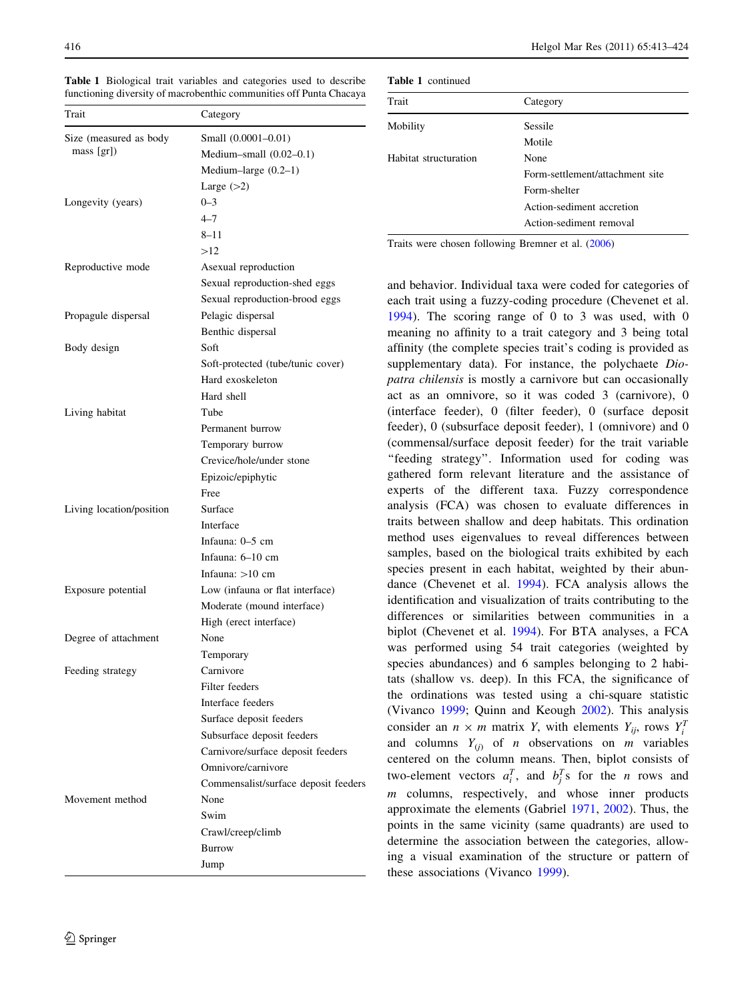| Trait                    | Category                             |  |  |
|--------------------------|--------------------------------------|--|--|
| Size (measured as body   | Small (0.0001-0.01)                  |  |  |
| mass [gr])               | Medium-small (0.02-0.1)              |  |  |
|                          | Medium-large (0.2-1)                 |  |  |
|                          | Large $(>2)$                         |  |  |
| Longevity (years)        | $0 - 3$                              |  |  |
|                          | $4 - 7$                              |  |  |
|                          | $8 - 11$                             |  |  |
|                          | >12                                  |  |  |
| Reproductive mode        | Asexual reproduction                 |  |  |
|                          | Sexual reproduction-shed eggs        |  |  |
|                          | Sexual reproduction-brood eggs       |  |  |
| Propagule dispersal      | Pelagic dispersal                    |  |  |
|                          | Benthic dispersal                    |  |  |
| Body design              | Soft                                 |  |  |
|                          | Soft-protected (tube/tunic cover)    |  |  |
|                          | Hard exoskeleton                     |  |  |
|                          | Hard shell                           |  |  |
| Living habitat           | Tube                                 |  |  |
|                          | Permanent burrow                     |  |  |
|                          | Temporary burrow                     |  |  |
|                          | Crevice/hole/under stone             |  |  |
|                          | Epizoic/epiphytic                    |  |  |
|                          | Free                                 |  |  |
| Living location/position | Surface                              |  |  |
|                          | Interface                            |  |  |
|                          | Infauna: 0-5 cm                      |  |  |
|                          | Infauna: 6-10 cm                     |  |  |
|                          | Infauna: >10 cm                      |  |  |
| Exposure potential       | Low (infauna or flat interface)      |  |  |
|                          | Moderate (mound interface)           |  |  |
|                          | High (erect interface)               |  |  |
| Degree of attachment     | None                                 |  |  |
|                          | Temporary                            |  |  |
| Feeding strategy         | Carnivore                            |  |  |
|                          | Filter feeders                       |  |  |
|                          | Interface feeders                    |  |  |
|                          | Surface deposit feeders              |  |  |
|                          | Subsurface deposit feeders           |  |  |
|                          | Carnivore/surface deposit feeders    |  |  |
|                          | Omnivore/carnivore                   |  |  |
|                          | Commensalist/surface deposit feeders |  |  |
|                          | None                                 |  |  |
| Movement method          | Swim                                 |  |  |
|                          |                                      |  |  |
|                          | Crawl/creep/climb                    |  |  |
|                          | <b>Burrow</b>                        |  |  |
|                          | Jump                                 |  |  |

<span id="page-3-0"></span>Table 1 Biological trait variables and categories used to describe functioning diversity of macrobenthic communities off Punta Chacaya

<sup>2</sup> Springer

| <b>Table 1</b> continued |                                 |  |
|--------------------------|---------------------------------|--|
| Trait                    | Category                        |  |
| Mobility                 | Sessile                         |  |
|                          | Motile                          |  |
| Habitat structuration    | None                            |  |
|                          | Form-settlement/attachment site |  |
|                          | Form-shelter                    |  |
|                          | Action-sediment accretion       |  |
|                          | Action-sediment removal         |  |

Traits were chosen following Bremner et al. ([2006\)](#page-10-0)

and behavior. Individual taxa were coded for categories of each trait using a fuzzy-coding procedure (Chevenet et al. [1994](#page-10-0)). The scoring range of 0 to 3 was used, with 0 meaning no affinity to a trait category and 3 being total affinity (the complete species trait's coding is provided as supplementary data). For instance, the polychaete *Dio*patra chilensis is mostly a carnivore but can occasionally act as an omnivore, so it was coded 3 (carnivore), 0 (interface feeder), 0 (filter feeder), 0 (surface deposit feeder), 0 (subsurface deposit feeder), 1 (omnivore) and 0 (commensal/surface deposit feeder) for the trait variable ''feeding strategy''. Information used for coding was gathered form relevant literature and the assistance of experts of the different taxa. Fuzzy correspondence analysis (FCA) was chosen to evaluate differences in traits between shallow and deep habitats. This ordination method uses eigenvalues to reveal differences between samples, based on the biological traits exhibited by each species present in each habitat, weighted by their abundance (Chevenet et al. [1994](#page-10-0)). FCA analysis allows the identification and visualization of traits contributing to the differences or similarities between communities in a biplot (Chevenet et al. [1994](#page-10-0)). For BTA analyses, a FCA was performed using 54 trait categories (weighted by species abundances) and 6 samples belonging to 2 habitats (shallow vs. deep). In this FCA, the significance of the ordinations was tested using a chi-square statistic (Vivanco [1999;](#page-11-0) Quinn and Keough [2002](#page-11-0)). This analysis consider an  $n \times m$  matrix Y, with elements  $Y_{ij}$ , rows  $Y_i^T$ and columns  $Y_{(i)}$  of *n* observations on *m* variables centered on the column means. Then, biplot consists of two-element vectors  $a_i^T$ , and  $b_j^T$ s for the *n* rows and  $m$  columns, respectively, and whose inner products approximate the elements (Gabriel [1971](#page-10-0), [2002\)](#page-10-0). Thus, the points in the same vicinity (same quadrants) are used to determine the association between the categories, allowing a visual examination of the structure or pattern of these associations (Vivanco [1999](#page-11-0)).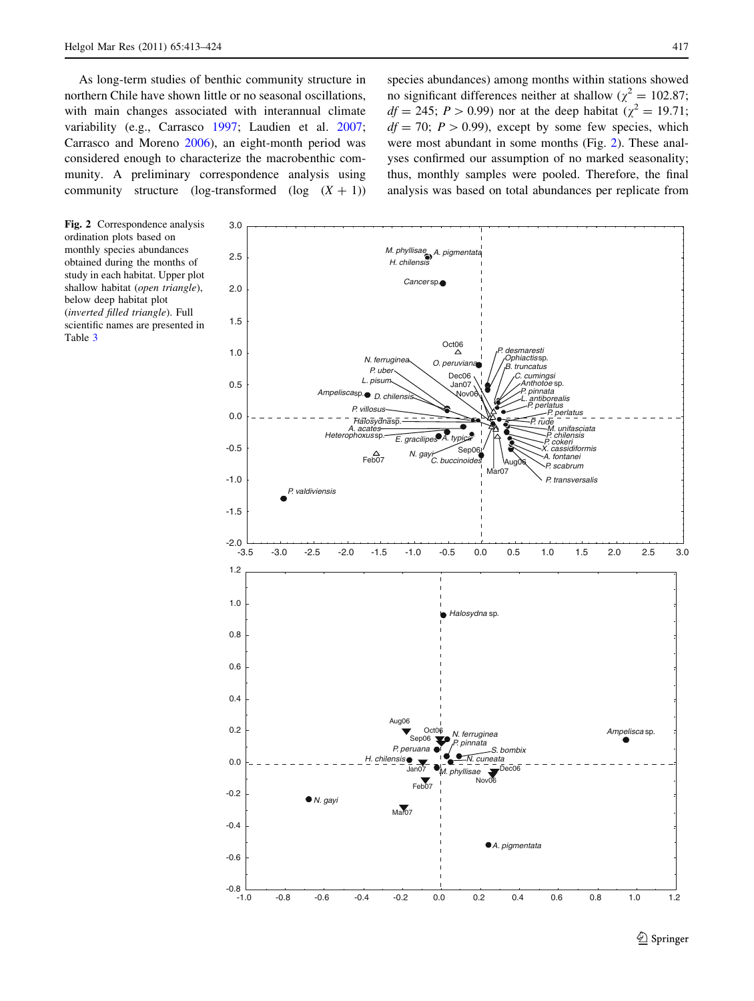species abundances) among months within stations showed no significant differences neither at shallow ( $\chi^2 = 102.87$ ;  $df = 245$ ;  $P > 0.99$ ) nor at the deep habitat ( $\chi^2 = 19.71$ ;  $df = 70$ ;  $P > 0.99$ ), except by some few species, which

As long-term studies of benthic community structure in northern Chile have shown little or no seasonal oscillations, with main changes associated with interannual climate variability (e.g., Carrasco [1997;](#page-10-0) Laudien et al. [2007](#page-10-0); Carrasco and Moreno [2006\)](#page-10-0), an eight-month period was considered enough to characterize the macrobenthic community. A preliminary correspondence analysis using community structure (log-transformed (log  $(X + 1)$ )

-1.5

-0.6

-0.4

-0.2

0.0

0.2

0.4

0.6

0.8

1.0

1.2

-1.0

-0.5

0.0

0.5

1.0

1.5

2.0

2.5

3.0

Fig. 2 Correspondence analysis ordination plots based on monthly species abundances obtained during the months of study in each habitat. Upper plot shallow habitat (open triangle), below deep habitat plot (inverted filled triangle). Full scientific names are presented in Table [3](#page-6-0)

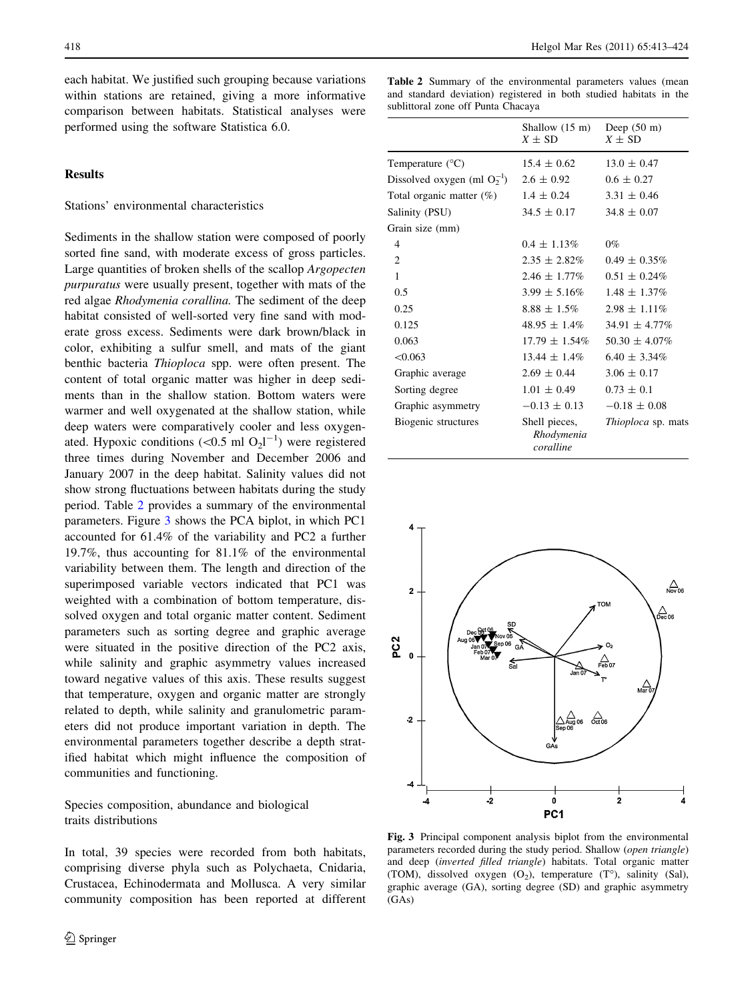each habitat. We justified such grouping because variations within stations are retained, giving a more informative comparison between habitats. Statistical analyses were performed using the software Statistica 6.0.

# Results

# Stations' environmental characteristics

Sediments in the shallow station were composed of poorly sorted fine sand, with moderate excess of gross particles. Large quantities of broken shells of the scallop Argopecten purpuratus were usually present, together with mats of the red algae Rhodymenia corallina. The sediment of the deep habitat consisted of well-sorted very fine sand with moderate gross excess. Sediments were dark brown/black in color, exhibiting a sulfur smell, and mats of the giant benthic bacteria Thioploca spp. were often present. The content of total organic matter was higher in deep sediments than in the shallow station. Bottom waters were warmer and well oxygenated at the shallow station, while deep waters were comparatively cooler and less oxygenated. Hypoxic conditions (<0.5 ml  $O_2l^{-1}$ ) were registered three times during November and December 2006 and January 2007 in the deep habitat. Salinity values did not show strong fluctuations between habitats during the study period. Table 2 provides a summary of the environmental parameters. Figure 3 shows the PCA biplot, in which PC1 accounted for 61.4% of the variability and PC2 a further 19.7%, thus accounting for 81.1% of the environmental variability between them. The length and direction of the superimposed variable vectors indicated that PC1 was weighted with a combination of bottom temperature, dissolved oxygen and total organic matter content. Sediment parameters such as sorting degree and graphic average were situated in the positive direction of the PC2 axis, while salinity and graphic asymmetry values increased toward negative values of this axis. These results suggest that temperature, oxygen and organic matter are strongly related to depth, while salinity and granulometric parameters did not produce important variation in depth. The environmental parameters together describe a depth stratified habitat which might influence the composition of communities and functioning.

Species composition, abundance and biological traits distributions

In total, 39 species were recorded from both habitats, comprising diverse phyla such as Polychaeta, Cnidaria, Crustacea, Echinodermata and Mollusca. A very similar community composition has been reported at different

Table 2 Summary of the environmental parameters values (mean and standard deviation) registered in both studied habitats in the sublittoral zone off Punta Chacaya

|                                   | Shallow $(15 \text{ m})$<br>$X \pm SD$   | Deep $(50 \text{ m})$<br>$X \pm SD$ |  |
|-----------------------------------|------------------------------------------|-------------------------------------|--|
| Temperature $(^{\circ}C)$         | $15.4 \pm 0.62$                          | $13.0 \pm 0.47$                     |  |
| Dissolved oxygen (ml $O_2^{-1}$ ) | $2.6 \pm 0.92$                           | $0.6 \pm 0.27$                      |  |
| Total organic matter $(\%)$       | $1.4 \pm 0.24$                           | $3.31 \pm 0.46$                     |  |
| Salinity (PSU)                    | $34.5 \pm 0.17$                          | $34.8 \pm 0.07$                     |  |
| Grain size (mm)                   |                                          |                                     |  |
| 4                                 | $0.4 \pm 1.13\%$                         | $0\%$                               |  |
| $\overline{c}$                    | $2.35 \pm 2.82\%$                        | $0.49 \pm 0.35\%$                   |  |
| 1                                 | $2.46 \pm 1.77\%$                        | $0.51 \pm 0.24\%$                   |  |
| 0.5                               | $3.99 \pm 5.16\%$                        | $1.48 \pm 1.37\%$                   |  |
| 0.25                              | $8.88 \pm 1.5\%$                         | $2.98 \pm 1.11\%$                   |  |
| 0.125                             | $48.95 \pm 1.4\%$                        | $34.91 \pm 4.77\%$                  |  |
| 0.063                             | $17.79 \pm 1.54\%$                       | $50.30 \pm 4.07\%$                  |  |
| < 0.063                           | $13.44 \pm 1.4\%$                        | $6.40 \pm 3.34\%$                   |  |
| Graphic average                   | $2.69 \pm 0.44$                          | $3.06 \pm 0.17$                     |  |
| Sorting degree                    | $1.01 \pm 0.49$                          | $0.73 \pm 0.1$                      |  |
| Graphic asymmetry                 | $-0.13 \pm 0.13$                         | $-0.18 \pm 0.08$                    |  |
| Biogenic structures               | Shell pieces,<br>Rhodymenia<br>coralline | <i>Thioploca</i> sp. mats           |  |



Fig. 3 Principal component analysis biplot from the environmental parameters recorded during the study period. Shallow (open triangle) and deep (inverted filled triangle) habitats. Total organic matter (TOM), dissolved oxygen  $(O_2)$ , temperature (T°), salinity (Sal), graphic average (GA), sorting degree (SD) and graphic asymmetry (GAs)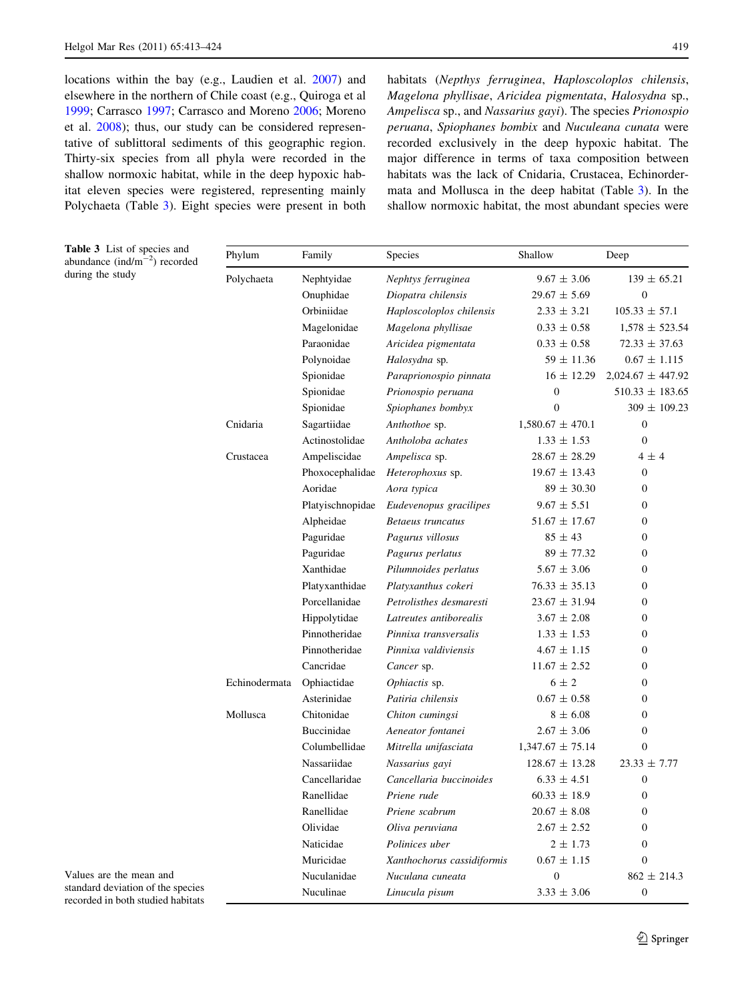<span id="page-6-0"></span>locations within the bay (e.g., Laudien et al. [2007\)](#page-10-0) and elsewhere in the northern of Chile coast (e.g., Quiroga et al [1999;](#page-11-0) Carrasco [1997](#page-10-0); Carrasco and Moreno [2006;](#page-10-0) Moreno et al. [2008](#page-11-0)); thus, our study can be considered representative of sublittoral sediments of this geographic region. Thirty-six species from all phyla were recorded in the shallow normoxic habitat, while in the deep hypoxic habitat eleven species were registered, representing mainly Polychaeta (Table 3). Eight species were present in both habitats (Nepthys ferruginea, Haploscoloplos chilensis, Magelona phyllisae, Aricidea pigmentata, Halosydna sp., Ampelisca sp., and Nassarius gayi). The species Prionospio peruana, Spiophanes bombix and Nuculeana cunata were recorded exclusively in the deep hypoxic habitat. The major difference in terms of taxa composition between habitats was the lack of Cnidaria, Crustacea, Echinordermata and Mollusca in the deep habitat (Table 3). In the shallow normoxic habitat, the most abundant species were

| Table 3 List of species and<br>abundance $(\text{ind/m}^{-2})$ recorded | Phylum        | Family           | <b>Species</b>             | Shallow              | Deep                  |
|-------------------------------------------------------------------------|---------------|------------------|----------------------------|----------------------|-----------------------|
| during the study                                                        | Polychaeta    | Nephtyidae       | Nephtys ferruginea         | $9.67 \pm 3.06$      | $139 \pm 65.21$       |
|                                                                         |               | Onuphidae        | Diopatra chilensis         | $29.67 \pm 5.69$     | $\mathbf{0}$          |
|                                                                         |               | Orbiniidae       | Haploscoloplos chilensis   | $2.33 \pm 3.21$      | $105.33 \pm 57.1$     |
|                                                                         |               | Magelonidae      | Magelona phyllisae         | $0.33 \pm 0.58$      | $1,578 \pm 523.54$    |
|                                                                         |               | Paraonidae       | Aricidea pigmentata        | $0.33 \pm 0.58$      | $72.33 \pm 37.63$     |
|                                                                         |               | Polynoidae       | Halosydna sp.              | $59 \pm 11.36$       | $0.67 \pm 1.115$      |
|                                                                         |               | Spionidae        | Paraprionospio pinnata     | $16 \pm 12.29$       | $2,024.67 \pm 447.92$ |
|                                                                         |               | Spionidae        | Prionospio peruana         | $\mathbf{0}$         | $510.33 \pm 183.65$   |
|                                                                         |               | Spionidae        | Spiophanes bombyx          | $\mathbf{0}$         | $309 \pm 109.23$      |
|                                                                         | Cnidaria      | Sagartiidae      | Anthothoe sp.              | $1,580.67 \pm 470.1$ | $\mathbf{0}$          |
|                                                                         |               | Actinostolidae   | Antholoba achates          | $1.33 \pm 1.53$      | $\mathbf{0}$          |
|                                                                         | Crustacea     | Ampeliscidae     | Ampelisca sp.              | $28.67 \pm 28.29$    | $4\pm4$               |
|                                                                         |               | Phoxocephalidae  | Heterophoxus sp.           | $19.67 \pm 13.43$    | $\boldsymbol{0}$      |
|                                                                         |               | Aoridae          | Aora typica                | $89 \pm 30.30$       | $\boldsymbol{0}$      |
|                                                                         |               | Platyischnopidae | Eudevenopus gracilipes     | $9.67 \pm 5.51$      | $\mathbf{0}$          |
|                                                                         |               | Alpheidae        | <b>Betaeus</b> truncatus   | $51.67 \pm 17.67$    | $\boldsymbol{0}$      |
|                                                                         |               | Paguridae        | Pagurus villosus           | $85 \pm 43$          | $\boldsymbol{0}$      |
|                                                                         |               | Paguridae        | Pagurus perlatus           | $89 \pm 77.32$       | $\overline{0}$        |
|                                                                         |               | Xanthidae        | Pilumnoides perlatus       | $5.67 \pm 3.06$      | $\mathbf{0}$          |
|                                                                         |               | Platyxanthidae   | Platyxanthus cokeri        | $76.33 \pm 35.13$    | $\mathbf{0}$          |
|                                                                         |               | Porcellanidae    | Petrolisthes desmaresti    | $23.67 \pm 31.94$    | $\boldsymbol{0}$      |
|                                                                         |               | Hippolytidae     | Latreutes antiborealis     | $3.67 \pm 2.08$      | $\boldsymbol{0}$      |
|                                                                         |               | Pinnotheridae    | Pinnixa transversalis      | $1.33 \pm 1.53$      | $\boldsymbol{0}$      |
|                                                                         |               | Pinnotheridae    | Pinnixa valdiviensis       | $4.67 \pm 1.15$      | $\boldsymbol{0}$      |
|                                                                         |               | Cancridae        | Cancer sp.                 | $11.67 \pm 2.52$     | $\mathbf{0}$          |
|                                                                         | Echinodermata | Ophiactidae      | Ophiactis sp.              | $6\pm 2$             | $\mathbf{0}$          |
|                                                                         |               | Asterinidae      | Patiria chilensis          | $0.67 \pm 0.58$      | $\mathbf{0}$          |
|                                                                         | Mollusca      | Chitonidae       | Chiton cumingsi            | $8 \pm 6.08$         | $\boldsymbol{0}$      |
|                                                                         |               | Buccinidae       | Aeneator fontanei          | $2.67 \pm 3.06$      | $\boldsymbol{0}$      |
|                                                                         |               | Columbellidae    | Mitrella unifasciata       | $1,347.67 \pm 75.14$ | $\overline{0}$        |
|                                                                         |               | Nassariidae      | Nassarius gayi             | $128.67 \pm 13.28$   | $23.33 \pm 7.77$      |
|                                                                         |               | Cancellaridae    | Cancellaria buccinoides    | $6.33 \pm 4.51$      | $\mathbf{0}$          |
|                                                                         |               | Ranellidae       | Priene rude                | $60.33 \pm 18.9$     | $\mathbf{0}$          |
|                                                                         |               | Ranellidae       | Priene scabrum             | $20.67 \pm 8.08$     | $\boldsymbol{0}$      |
|                                                                         |               | Olividae         | Oliva peruviana            | $2.67 \pm 2.52$      | $\boldsymbol{0}$      |
|                                                                         |               | Naticidae        | Polinices uber             | $2 \pm 1.73$         | $\boldsymbol{0}$      |
|                                                                         |               | Muricidae        | Xanthochorus cassidiformis | $0.67 \pm 1.15$      | $\mathbf{0}$          |
| Values are the mean and                                                 |               | Nuculanidae      | Nuculana cuneata           | $\boldsymbol{0}$     | $862 \pm 214.3$       |
| standard deviation of the species<br>recorded in both studied habitats  |               | Nuculinae        | Linucula pisum             | $3.33 \pm 3.06$      | $\boldsymbol{0}$      |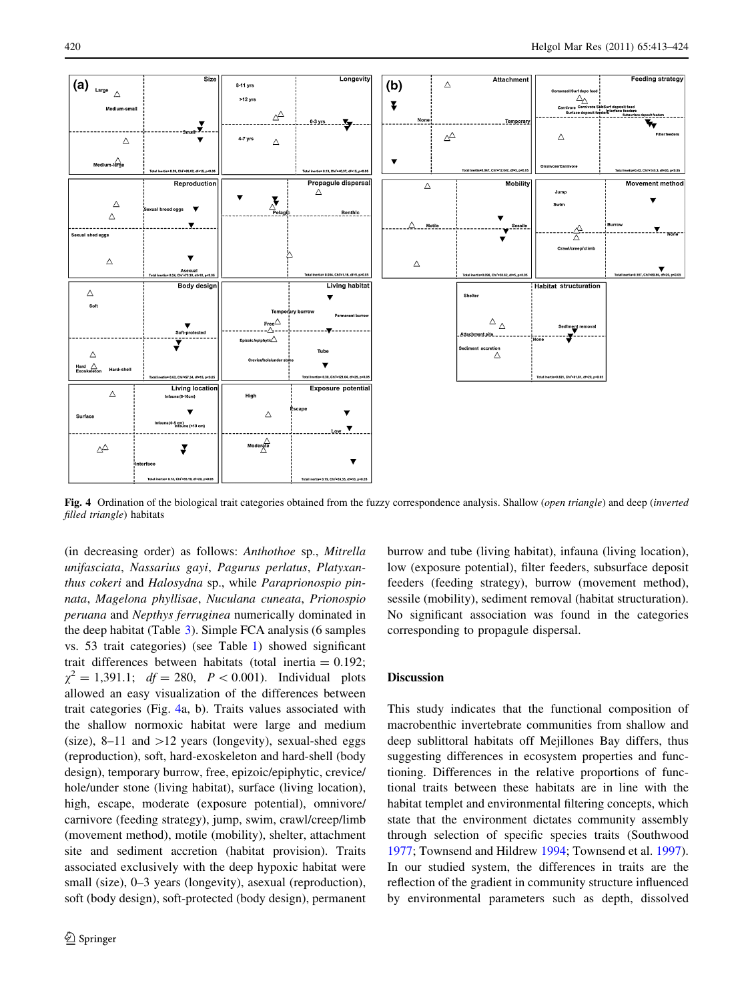

Fig. 4 Ordination of the biological trait categories obtained from the fuzzy correspondence analysis. Shallow (open triangle) and deep (inverted filled triangle) habitats

(in decreasing order) as follows: Anthothoe sp., Mitrella unifasciata, Nassarius gayi, Pagurus perlatus, Platyxanthus cokeri and Halosydna sp., while Paraprionospio pinnata, Magelona phyllisae, Nuculana cuneata, Prionospio peruana and Nepthys ferruginea numerically dominated in the deep habitat (Table [3](#page-6-0)). Simple FCA analysis (6 samples vs. 53 trait categories) (see Table [1\)](#page-3-0) showed significant trait differences between habitats (total inertia  $= 0.192$ ;  $\chi^2 = 1,391.1;$  df = 280, P < 0.001). Individual plots allowed an easy visualization of the differences between trait categories (Fig. 4a, b). Traits values associated with the shallow normoxic habitat were large and medium (size), 8–11 and  $>12$  years (longevity), sexual-shed eggs (reproduction), soft, hard-exoskeleton and hard-shell (body design), temporary burrow, free, epizoic/epiphytic, crevice/ hole/under stone (living habitat), surface (living location), high, escape, moderate (exposure potential), omnivore/ carnivore (feeding strategy), jump, swim, crawl/creep/limb (movement method), motile (mobility), shelter, attachment site and sediment accretion (habitat provision). Traits associated exclusively with the deep hypoxic habitat were small (size), 0–3 years (longevity), asexual (reproduction), soft (body design), soft-protected (body design), permanent burrow and tube (living habitat), infauna (living location), low (exposure potential), filter feeders, subsurface deposit feeders (feeding strategy), burrow (movement method), sessile (mobility), sediment removal (habitat structuration). No significant association was found in the categories corresponding to propagule dispersal.

# **Discussion**

This study indicates that the functional composition of macrobenthic invertebrate communities from shallow and deep sublittoral habitats off Mejillones Bay differs, thus suggesting differences in ecosystem properties and functioning. Differences in the relative proportions of functional traits between these habitats are in line with the habitat templet and environmental filtering concepts, which state that the environment dictates community assembly through selection of specific species traits (Southwood [1977](#page-11-0); Townsend and Hildrew [1994](#page-11-0); Townsend et al. [1997](#page-11-0)). In our studied system, the differences in traits are the reflection of the gradient in community structure influenced by environmental parameters such as depth, dissolved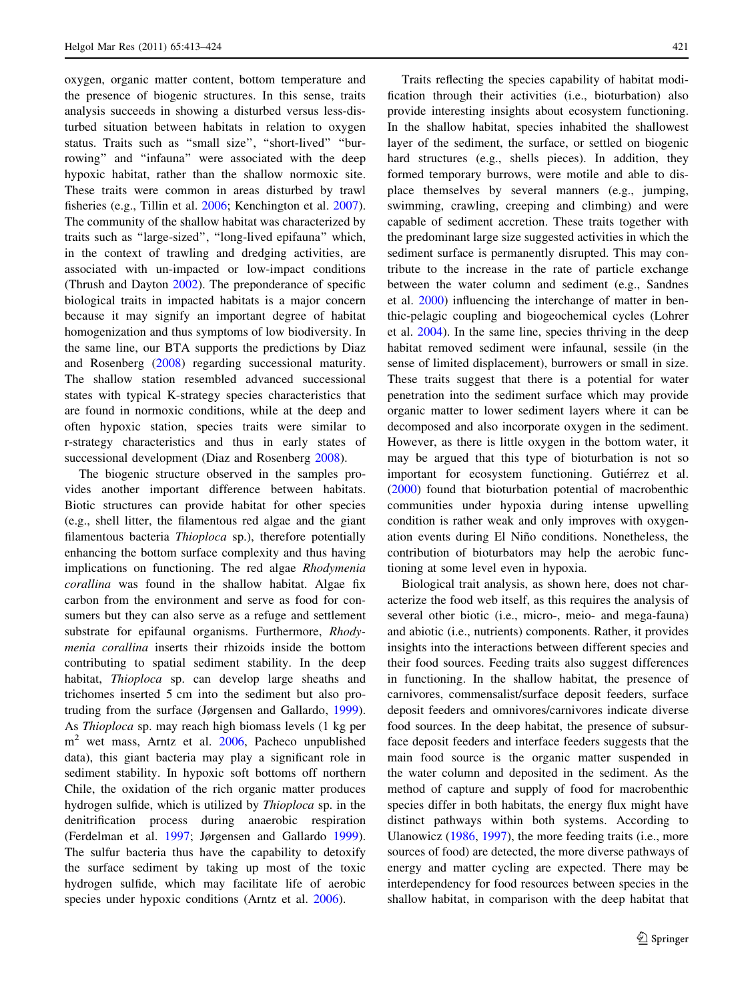oxygen, organic matter content, bottom temperature and the presence of biogenic structures. In this sense, traits analysis succeeds in showing a disturbed versus less-disturbed situation between habitats in relation to oxygen status. Traits such as ''small size'', ''short-lived'' ''burrowing'' and ''infauna'' were associated with the deep hypoxic habitat, rather than the shallow normoxic site. These traits were common in areas disturbed by trawl fisheries (e.g., Tillin et al. [2006](#page-11-0); Kenchington et al. [2007](#page-10-0)). The community of the shallow habitat was characterized by traits such as ''large-sized'', ''long-lived epifauna'' which, in the context of trawling and dredging activities, are associated with un-impacted or low-impact conditions (Thrush and Dayton [2002\)](#page-11-0). The preponderance of specific biological traits in impacted habitats is a major concern because it may signify an important degree of habitat homogenization and thus symptoms of low biodiversity. In the same line, our BTA supports the predictions by Diaz and Rosenberg [\(2008](#page-10-0)) regarding successional maturity. The shallow station resembled advanced successional states with typical K-strategy species characteristics that are found in normoxic conditions, while at the deep and often hypoxic station, species traits were similar to r-strategy characteristics and thus in early states of successional development (Diaz and Rosenberg [2008\)](#page-10-0).

The biogenic structure observed in the samples provides another important difference between habitats. Biotic structures can provide habitat for other species (e.g., shell litter, the filamentous red algae and the giant filamentous bacteria Thioploca sp.), therefore potentially enhancing the bottom surface complexity and thus having implications on functioning. The red algae Rhodymenia corallina was found in the shallow habitat. Algae fix carbon from the environment and serve as food for consumers but they can also serve as a refuge and settlement substrate for epifaunal organisms. Furthermore, Rhodymenia corallina inserts their rhizoids inside the bottom contributing to spatial sediment stability. In the deep habitat, Thioploca sp. can develop large sheaths and trichomes inserted 5 cm into the sediment but also protruding from the surface (Jørgensen and Gallardo, [1999](#page-10-0)). As Thioploca sp. may reach high biomass levels (1 kg per  $m<sup>2</sup>$  wet mass, Arntz et al. [2006](#page-9-0), Pacheco unpublished data), this giant bacteria may play a significant role in sediment stability. In hypoxic soft bottoms off northern Chile, the oxidation of the rich organic matter produces hydrogen sulfide, which is utilized by Thioploca sp. in the denitrification process during anaerobic respiration (Ferdelman et al. [1997](#page-10-0); Jørgensen and Gallardo [1999](#page-10-0)). The sulfur bacteria thus have the capability to detoxify the surface sediment by taking up most of the toxic hydrogen sulfide, which may facilitate life of aerobic species under hypoxic conditions (Arntz et al. [2006\)](#page-9-0).

Traits reflecting the species capability of habitat modification through their activities (i.e., bioturbation) also provide interesting insights about ecosystem functioning. In the shallow habitat, species inhabited the shallowest layer of the sediment, the surface, or settled on biogenic hard structures (e.g., shells pieces). In addition, they formed temporary burrows, were motile and able to displace themselves by several manners (e.g., jumping, swimming, crawling, creeping and climbing) and were capable of sediment accretion. These traits together with the predominant large size suggested activities in which the sediment surface is permanently disrupted. This may contribute to the increase in the rate of particle exchange between the water column and sediment (e.g., Sandnes et al. [2000\)](#page-11-0) influencing the interchange of matter in benthic-pelagic coupling and biogeochemical cycles (Lohrer et al. [2004\)](#page-10-0). In the same line, species thriving in the deep habitat removed sediment were infaunal, sessile (in the sense of limited displacement), burrowers or small in size. These traits suggest that there is a potential for water penetration into the sediment surface which may provide organic matter to lower sediment layers where it can be decomposed and also incorporate oxygen in the sediment. However, as there is little oxygen in the bottom water, it may be argued that this type of bioturbation is not so important for ecosystem functioning. Gutiérrez et al. [\(2000](#page-10-0)) found that bioturbation potential of macrobenthic communities under hypoxia during intense upwelling condition is rather weak and only improves with oxygenation events during El Niño conditions. Nonetheless, the contribution of bioturbators may help the aerobic functioning at some level even in hypoxia.

Biological trait analysis, as shown here, does not characterize the food web itself, as this requires the analysis of several other biotic (i.e., micro-, meio- and mega-fauna) and abiotic (i.e., nutrients) components. Rather, it provides insights into the interactions between different species and their food sources. Feeding traits also suggest differences in functioning. In the shallow habitat, the presence of carnivores, commensalist/surface deposit feeders, surface deposit feeders and omnivores/carnivores indicate diverse food sources. In the deep habitat, the presence of subsurface deposit feeders and interface feeders suggests that the main food source is the organic matter suspended in the water column and deposited in the sediment. As the method of capture and supply of food for macrobenthic species differ in both habitats, the energy flux might have distinct pathways within both systems. According to Ulanowicz ([1986](#page-11-0), [1997\)](#page-11-0), the more feeding traits (i.e., more sources of food) are detected, the more diverse pathways of energy and matter cycling are expected. There may be interdependency for food resources between species in the shallow habitat, in comparison with the deep habitat that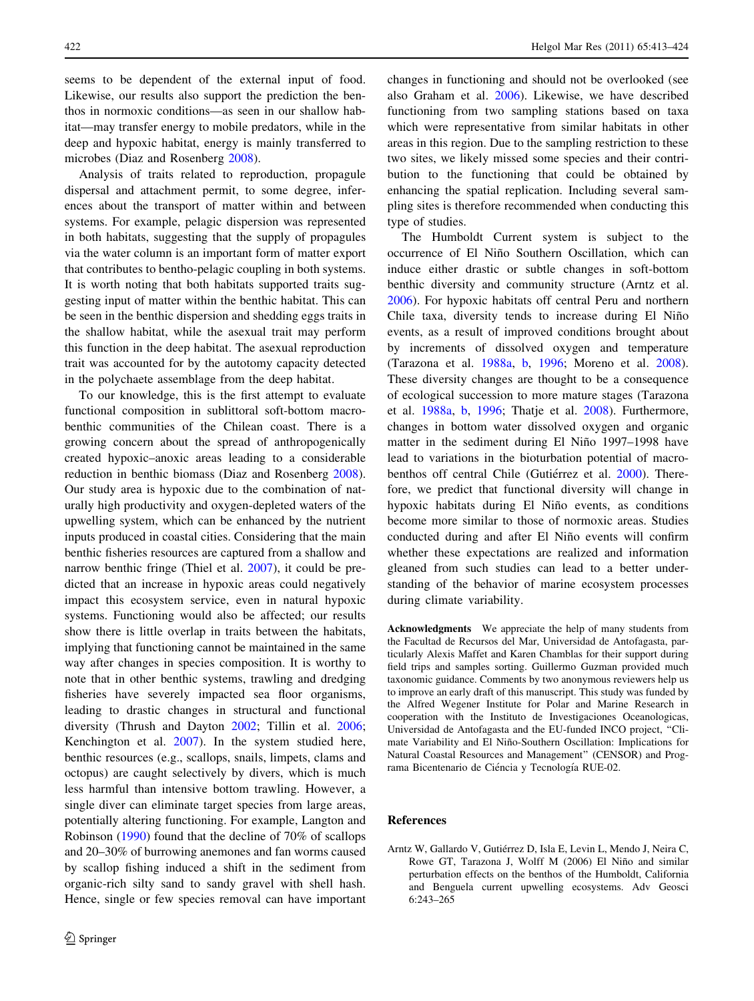<span id="page-9-0"></span>seems to be dependent of the external input of food. Likewise, our results also support the prediction the benthos in normoxic conditions—as seen in our shallow habitat—may transfer energy to mobile predators, while in the deep and hypoxic habitat, energy is mainly transferred to microbes (Diaz and Rosenberg [2008](#page-10-0)).

Analysis of traits related to reproduction, propagule dispersal and attachment permit, to some degree, inferences about the transport of matter within and between systems. For example, pelagic dispersion was represented in both habitats, suggesting that the supply of propagules via the water column is an important form of matter export that contributes to bentho-pelagic coupling in both systems. It is worth noting that both habitats supported traits suggesting input of matter within the benthic habitat. This can be seen in the benthic dispersion and shedding eggs traits in the shallow habitat, while the asexual trait may perform this function in the deep habitat. The asexual reproduction trait was accounted for by the autotomy capacity detected in the polychaete assemblage from the deep habitat.

To our knowledge, this is the first attempt to evaluate functional composition in sublittoral soft-bottom macrobenthic communities of the Chilean coast. There is a growing concern about the spread of anthropogenically created hypoxic–anoxic areas leading to a considerable reduction in benthic biomass (Diaz and Rosenberg [2008](#page-10-0)). Our study area is hypoxic due to the combination of naturally high productivity and oxygen-depleted waters of the upwelling system, which can be enhanced by the nutrient inputs produced in coastal cities. Considering that the main benthic fisheries resources are captured from a shallow and narrow benthic fringe (Thiel et al. [2007\)](#page-11-0), it could be predicted that an increase in hypoxic areas could negatively impact this ecosystem service, even in natural hypoxic systems. Functioning would also be affected; our results show there is little overlap in traits between the habitats, implying that functioning cannot be maintained in the same way after changes in species composition. It is worthy to note that in other benthic systems, trawling and dredging fisheries have severely impacted sea floor organisms, leading to drastic changes in structural and functional diversity (Thrush and Dayton [2002;](#page-11-0) Tillin et al. [2006](#page-11-0); Kenchington et al. [2007](#page-10-0)). In the system studied here, benthic resources (e.g., scallops, snails, limpets, clams and octopus) are caught selectively by divers, which is much less harmful than intensive bottom trawling. However, a single diver can eliminate target species from large areas, potentially altering functioning. For example, Langton and Robinson ([1990\)](#page-10-0) found that the decline of 70% of scallops and 20–30% of burrowing anemones and fan worms caused by scallop fishing induced a shift in the sediment from organic-rich silty sand to sandy gravel with shell hash. Hence, single or few species removal can have important changes in functioning and should not be overlooked (see also Graham et al. [2006\)](#page-10-0). Likewise, we have described functioning from two sampling stations based on taxa which were representative from similar habitats in other areas in this region. Due to the sampling restriction to these two sites, we likely missed some species and their contribution to the functioning that could be obtained by enhancing the spatial replication. Including several sampling sites is therefore recommended when conducting this type of studies.

The Humboldt Current system is subject to the occurrence of El Niño Southern Oscillation, which can induce either drastic or subtle changes in soft-bottom benthic diversity and community structure (Arntz et al. 2006). For hypoxic habitats off central Peru and northern Chile taxa, diversity tends to increase during El Niño events, as a result of improved conditions brought about by increments of dissolved oxygen and temperature (Tarazona et al. [1988a,](#page-11-0) [b](#page-11-0), [1996](#page-11-0); Moreno et al. [2008](#page-11-0)). These diversity changes are thought to be a consequence of ecological succession to more mature stages (Tarazona et al. [1988a](#page-11-0), [b](#page-11-0), [1996;](#page-11-0) Thatje et al. [2008](#page-11-0)). Furthermore, changes in bottom water dissolved oxygen and organic matter in the sediment during El Niño 1997–1998 have lead to variations in the bioturbation potential of macro-benthos off central Chile (Gutiérrez et al. [2000](#page-10-0)). Therefore, we predict that functional diversity will change in hypoxic habitats during El Niño events, as conditions become more similar to those of normoxic areas. Studies conducted during and after El Niño events will confirm whether these expectations are realized and information gleaned from such studies can lead to a better understanding of the behavior of marine ecosystem processes during climate variability.

Acknowledgments We appreciate the help of many students from the Facultad de Recursos del Mar, Universidad de Antofagasta, particularly Alexis Maffet and Karen Chamblas for their support during field trips and samples sorting. Guillermo Guzman provided much taxonomic guidance. Comments by two anonymous reviewers help us to improve an early draft of this manuscript. This study was funded by the Alfred Wegener Institute for Polar and Marine Research in cooperation with the Instituto de Investigaciones Oceanologicas, Universidad de Antofagasta and the EU-funded INCO project, ''Climate Variability and El Niño-Southern Oscillation: Implications for Natural Coastal Resources and Management'' (CENSOR) and Programa Bicentenario de Ciéncia y Tecnología RUE-02.

# References

Arntz W, Gallardo V, Gutiérrez D, Isla E, Levin L, Mendo J, Neira C, Rowe GT, Tarazona J, Wolff M (2006) El Niño and similar perturbation effects on the benthos of the Humboldt, California and Benguela current upwelling ecosystems. Adv Geosci 6:243–265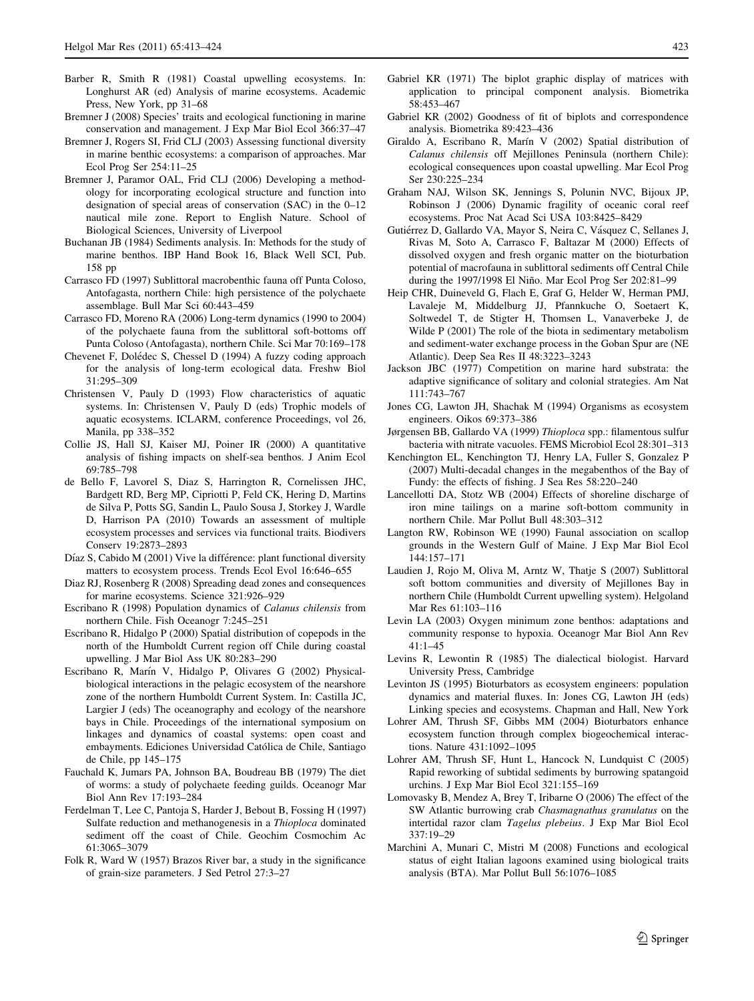- <span id="page-10-0"></span>Barber R, Smith R (1981) Coastal upwelling ecosystems. In: Longhurst AR (ed) Analysis of marine ecosystems. Academic Press, New York, pp 31–68
- Bremner J (2008) Species' traits and ecological functioning in marine conservation and management. J Exp Mar Biol Ecol 366:37–47
- Bremner J, Rogers SI, Frid CLJ (2003) Assessing functional diversity in marine benthic ecosystems: a comparison of approaches. Mar Ecol Prog Ser 254:11–25
- Bremner J, Paramor OAL, Frid CLJ (2006) Developing a methodology for incorporating ecological structure and function into designation of special areas of conservation (SAC) in the 0–12 nautical mile zone. Report to English Nature. School of Biological Sciences, University of Liverpool
- Buchanan JB (1984) Sediments analysis. In: Methods for the study of marine benthos. IBP Hand Book 16, Black Well SCI, Pub. 158 pp
- Carrasco FD (1997) Sublittoral macrobenthic fauna off Punta Coloso, Antofagasta, northern Chile: high persistence of the polychaete assemblage. Bull Mar Sci 60:443–459
- Carrasco FD, Moreno RA (2006) Long-term dynamics (1990 to 2004) of the polychaete fauna from the sublittoral soft-bottoms off Punta Coloso (Antofagasta), northern Chile. Sci Mar 70:169–178
- Chevenet F, Dolédec S, Chessel D (1994) A fuzzy coding approach for the analysis of long-term ecological data. Freshw Biol 31:295–309
- Christensen V, Pauly D (1993) Flow characteristics of aquatic systems. In: Christensen V, Pauly D (eds) Trophic models of aquatic ecosystems. ICLARM, conference Proceedings, vol 26, Manila, pp 338–352
- Collie JS, Hall SJ, Kaiser MJ, Poiner IR (2000) A quantitative analysis of fishing impacts on shelf-sea benthos. J Anim Ecol 69:785–798
- de Bello F, Lavorel S, Diaz S, Harrington R, Cornelissen JHC, Bardgett RD, Berg MP, Cipriotti P, Feld CK, Hering D, Martins de Silva P, Potts SG, Sandin L, Paulo Sousa J, Storkey J, Wardle D, Harrison PA (2010) Towards an assessment of multiple ecosystem processes and services via functional traits. Biodivers Conserv 19:2873–2893
- Díaz S, Cabido M (2001) Vive la différence: plant functional diversity matters to ecosystem process. Trends Ecol Evol 16:646–655
- Diaz RJ, Rosenberg R (2008) Spreading dead zones and consequences for marine ecosystems. Science 321:926–929
- Escribano R (1998) Population dynamics of Calanus chilensis from northern Chile. Fish Oceanogr 7:245–251
- Escribano R, Hidalgo P (2000) Spatial distribution of copepods in the north of the Humboldt Current region off Chile during coastal upwelling. J Mar Biol Ass UK 80:283–290
- Escribano R, Marín V, Hidalgo P, Olivares G (2002) Physicalbiological interactions in the pelagic ecosystem of the nearshore zone of the northern Humboldt Current System. In: Castilla JC, Largier J (eds) The oceanography and ecology of the nearshore bays in Chile. Proceedings of the international symposium on linkages and dynamics of coastal systems: open coast and embayments. Ediciones Universidad Católica de Chile, Santiago de Chile, pp 145–175
- Fauchald K, Jumars PA, Johnson BA, Boudreau BB (1979) The diet of worms: a study of polychaete feeding guilds. Oceanogr Mar Biol Ann Rev 17:193–284
- Ferdelman T, Lee C, Pantoja S, Harder J, Bebout B, Fossing H (1997) Sulfate reduction and methanogenesis in a Thioploca dominated sediment off the coast of Chile. Geochim Cosmochim Ac 61:3065–3079
- Folk R, Ward W (1957) Brazos River bar, a study in the significance of grain-size parameters. J Sed Petrol 27:3–27
- Gabriel KR (1971) The biplot graphic display of matrices with application to principal component analysis. Biometrika 58:453–467
- Gabriel KR (2002) Goodness of fit of biplots and correspondence analysis. Biometrika 89:423–436
- Giraldo A, Escribano R, Marín V (2002) Spatial distribution of Calanus chilensis off Mejillones Peninsula (northern Chile): ecological consequences upon coastal upwelling. Mar Ecol Prog Ser 230:225–234
- Graham NAJ, Wilson SK, Jennings S, Polunin NVC, Bijoux JP, Robinson J (2006) Dynamic fragility of oceanic coral reef ecosystems. Proc Nat Acad Sci USA 103:8425–8429
- Gutiérrez D, Gallardo VA, Mayor S, Neira C, Vásquez C, Sellanes J, Rivas M, Soto A, Carrasco F, Baltazar M (2000) Effects of dissolved oxygen and fresh organic matter on the bioturbation potential of macrofauna in sublittoral sediments off Central Chile during the 1997/1998 El Niño. Mar Ecol Prog Ser 202:81–99
- Heip CHR, Duineveld G, Flach E, Graf G, Helder W, Herman PMJ, Lavaleje M, Middelburg JJ, Pfannkuche O, Soetaert K, Soltwedel T, de Stigter H, Thomsen L, Vanaverbeke J, de Wilde P (2001) The role of the biota in sedimentary metabolism and sediment-water exchange process in the Goban Spur are (NE Atlantic). Deep Sea Res II 48:3223–3243
- Jackson JBC (1977) Competition on marine hard substrata: the adaptive significance of solitary and colonial strategies. Am Nat 111:743–767
- Jones CG, Lawton JH, Shachak M (1994) Organisms as ecosystem engineers. Oikos 69:373–386
- Jørgensen BB, Gallardo VA (1999) Thioploca spp.: filamentous sulfur bacteria with nitrate vacuoles. FEMS Microbiol Ecol 28:301–313
- Kenchington EL, Kenchington TJ, Henry LA, Fuller S, Gonzalez P (2007) Multi-decadal changes in the megabenthos of the Bay of Fundy: the effects of fishing. J Sea Res 58:220–240
- Lancellotti DA, Stotz WB (2004) Effects of shoreline discharge of iron mine tailings on a marine soft-bottom community in northern Chile. Mar Pollut Bull 48:303–312
- Langton RW, Robinson WE (1990) Faunal association on scallop grounds in the Western Gulf of Maine. J Exp Mar Biol Ecol 144:157–171
- Laudien J, Rojo M, Oliva M, Arntz W, Thatje S (2007) Sublittoral soft bottom communities and diversity of Mejillones Bay in northern Chile (Humboldt Current upwelling system). Helgoland Mar Res 61:103–116
- Levin LA (2003) Oxygen minimum zone benthos: adaptations and community response to hypoxia. Oceanogr Mar Biol Ann Rev 41:1–45
- Levins R, Lewontin R (1985) The dialectical biologist. Harvard University Press, Cambridge
- Levinton JS (1995) Bioturbators as ecosystem engineers: population dynamics and material fluxes. In: Jones CG, Lawton JH (eds) Linking species and ecosystems. Chapman and Hall, New York
- Lohrer AM, Thrush SF, Gibbs MM (2004) Bioturbators enhance ecosystem function through complex biogeochemical interactions. Nature 431:1092–1095
- Lohrer AM, Thrush SF, Hunt L, Hancock N, Lundquist C (2005) Rapid reworking of subtidal sediments by burrowing spatangoid urchins. J Exp Mar Biol Ecol 321:155–169
- Lomovasky B, Mendez A, Brey T, Iribarne O (2006) The effect of the SW Atlantic burrowing crab Chasmagnathus granulatus on the intertidal razor clam Tagelus plebeius. J Exp Mar Biol Ecol 337:19–29
- Marchini A, Munari C, Mistri M (2008) Functions and ecological status of eight Italian lagoons examined using biological traits analysis (BTA). Mar Pollut Bull 56:1076–1085